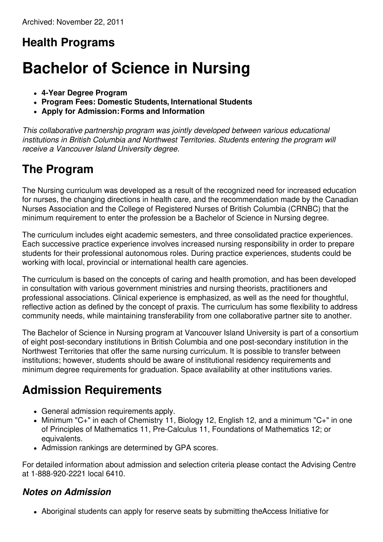# **Health Programs**

# **Bachelor of Science in Nursing**

- **4-Year Degree Program**
- **Program Fees: Domestic Students, International Students**
- **Apply for Admission:Forms and Information**

*This collaborative partnership program was jointly developed between various educational institutions in British Columbia and Northwest Territories. Students entering the program will receive a Vancouver Island University degree.*

# **The Program**

The Nursing curriculum was developed as a result of the recognized need for increased education for nurses, the changing directions in health care, and the recommendation made by the Canadian Nurses Association and the College of Registered Nurses of British Columbia (CRNBC) that the minimum requirement to enter the profession be a Bachelor of Science in Nursing degree.

The curriculum includes eight academic semesters, and three consolidated practice experiences. Each successive practice experience involves increased nursing responsibility in order to prepare students for their professional autonomous roles. During practice experiences, students could be working with local, provincial or international health care agencies.

The curriculum is based on the concepts of caring and health promotion, and has been developed in consultation with various government ministries and nursing theorists, practitioners and professional associations. Clinical experience is emphasized, as well as the need for thoughtful, reflective action as defined by the concept of praxis. The curriculum has some flexibility to address community needs, while maintaining transferability from one collaborative partner site to another.

The Bachelor of Science in Nursing program at Vancouver Island University is part of a consortium of eight post-secondary institutions in British Columbia and one post-secondary institution in the Northwest Territories that offer the same nursing curriculum. It is possible to transfer between institutions; however, students should be aware of institutional residency requirements and minimum degree requirements for graduation. Space availability at other institutions varies.

## **Admission Requirements**

- General admission requirements apply.
- Minimum "C+" in each of Chemistry 11, Biology 12, English 12, and a minimum "C+" in one of Principles of Mathematics 11, Pre-Calculus 11, Foundations of Mathematics 12; or equivalents.
- Admission rankings are determined by GPA scores.

For detailed information about admission and selection criteria please contact the Advising Centre at 1-888-920-2221 local 6410.

#### *Notes on Admission*

Aboriginal students can apply for reserve seats by submitting theAccess Initiative for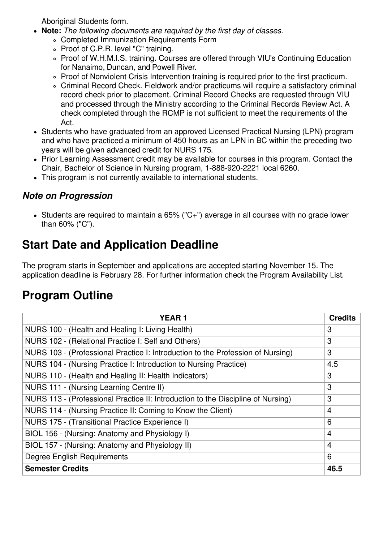Aboriginal Students form.

- **Note:** *The following documents are required by the first day of classes.*
	- Completed Immunization Requirements Form
	- Proof of C.P.R. level "C" training.
	- Proof of W.H.M.I.S. training. Courses are offered through VIU's Continuing Education for Nanaimo, Duncan, and Powell River.
	- Proof of Nonviolent Crisis Intervention training is required prior to the first practicum.
	- Criminal Record Check. Fieldwork and/or practicums will require a satisfactory criminal record check prior to placement. Criminal Record Checks are requested through VIU and processed through the Ministry according to the Criminal Records Review Act. A check completed through the RCMP is not sufficient to meet the requirements of the Act.
- Students who have graduated from an approved Licensed Practical Nursing (LPN) program and who have practiced a minimum of 450 hours as an LPN in BC within the preceding two years will be given advanced credit for NURS 175.
- Prior Learning Assessment credit may be available for courses in this program. Contact the Chair, Bachelor of Science in Nursing program, 1-888-920-2221 local 6260.
- This program is not currently available to international students.

#### *Note on Progression*

Students are required to maintain a 65% ("C+") average in all courses with no grade lower than 60% ("C").

## **Start Date and Application Deadline**

The program starts in September and applications are accepted starting November 15. The application deadline is February 28. For further information check the Program Availability List.

## **Program Outline**

| <b>YEAR1</b>                                                                     | <b>Credits</b> |
|----------------------------------------------------------------------------------|----------------|
| NURS 100 - (Health and Healing I: Living Health)                                 | 3              |
| NURS 102 - (Relational Practice I: Self and Others)                              | 3              |
| NURS 103 - (Professional Practice I: Introduction to the Profession of Nursing)  | 3              |
| NURS 104 - (Nursing Practice I: Introduction to Nursing Practice)                | 4.5            |
| NURS 110 - (Health and Healing II: Health Indicators)                            | 3              |
| NURS 111 - (Nursing Learning Centre II)                                          | 3              |
| NURS 113 - (Professional Practice II: Introduction to the Discipline of Nursing) | 3              |
| NURS 114 - (Nursing Practice II: Coming to Know the Client)                      | $\overline{4}$ |
| NURS 175 - (Transitional Practice Experience I)                                  | 6              |
| BIOL 156 - (Nursing: Anatomy and Physiology I)                                   | 4              |
| BIOL 157 - (Nursing: Anatomy and Physiology II)                                  | $\overline{4}$ |
| Degree English Requirements                                                      | 6              |
| <b>Semester Credits</b>                                                          | 46.5           |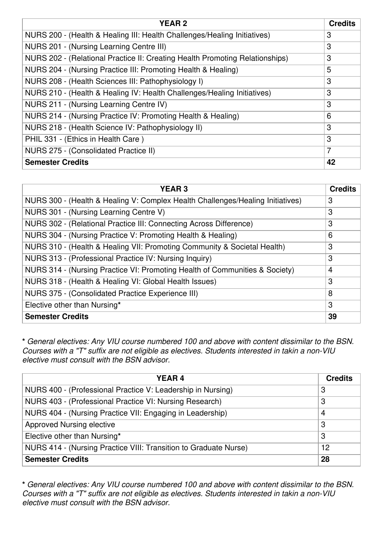| <b>YEAR2</b>                                                                 | <b>Credits</b> |
|------------------------------------------------------------------------------|----------------|
| NURS 200 - (Health & Healing III: Health Challenges/Healing Initiatives)     | 3              |
| NURS 201 - (Nursing Learning Centre III)                                     | 3              |
| NURS 202 - (Relational Practice II: Creating Health Promoting Relationships) | 3              |
| NURS 204 - (Nursing Practice III: Promoting Health & Healing)                | 5              |
| NURS 208 - (Health Sciences III: Pathophysiology I)                          | 3              |
| NURS 210 - (Health & Healing IV: Health Challenges/Healing Initiatives)      | 3              |
| NURS 211 - (Nursing Learning Centre IV)                                      | 3              |
| NURS 214 - (Nursing Practice IV: Promoting Health & Healing)                 | 6              |
| NURS 218 - (Health Science IV: Pathophysiology II)                           | 3              |
| PHIL 331 - (Ethics in Health Care)                                           | 3              |
| NURS 275 - (Consolidated Practice II)                                        | 7              |
| <b>Semester Credits</b>                                                      | 42             |

| <b>YEAR 3</b>                                                                  | <b>Credits</b> |
|--------------------------------------------------------------------------------|----------------|
| NURS 300 - (Health & Healing V: Complex Health Challenges/Healing Initiatives) | 3              |
| NURS 301 - (Nursing Learning Centre V)                                         | 3              |
| NURS 302 - (Relational Practice III: Connecting Across Difference)             | 3              |
| NURS 304 - (Nursing Practice V: Promoting Health & Healing)                    | 6              |
| NURS 310 - (Health & Healing VII: Promoting Community & Societal Health)       | 3              |
| NURS 313 - (Professional Practice IV: Nursing Inquiry)                         | 3              |
| NURS 314 - (Nursing Practice VI: Promoting Health of Communities & Society)    | $\overline{4}$ |
| NURS 318 - (Health & Healing VI: Global Health Issues)                         | 3              |
| NURS 375 - (Consolidated Practice Experience III)                              | 8              |
| Elective other than Nursing*                                                   | 3              |
| <b>Semester Credits</b>                                                        | 39             |

**\*** *General electives: Any VIU course numbered 100 and above with content dissimilar to the BSN. Courses with a "T" suffix are not eligible as electives. Students interested in takin a non-VIU elective must consult with the BSN advisor.*

| <b>YEAR4</b>                                                     | <b>Credits</b> |
|------------------------------------------------------------------|----------------|
| NURS 400 - (Professional Practice V: Leadership in Nursing)      | 3              |
| NURS 403 - (Professional Practice VI: Nursing Research)          | 3              |
| NURS 404 - (Nursing Practice VII: Engaging in Leadership)        | 4              |
| Approved Nursing elective                                        | 3              |
| Elective other than Nursing*                                     | 3              |
| NURS 414 - (Nursing Practice VIII: Transition to Graduate Nurse) | 12             |
| <b>Semester Credits</b>                                          | 28             |

**\*** *General electives: Any VIU course numbered 100 and above with content dissimilar to the BSN. Courses with a "T" suffix are not eligible as electives. Students interested in takin a non-VIU elective must consult with the BSN advisor.*